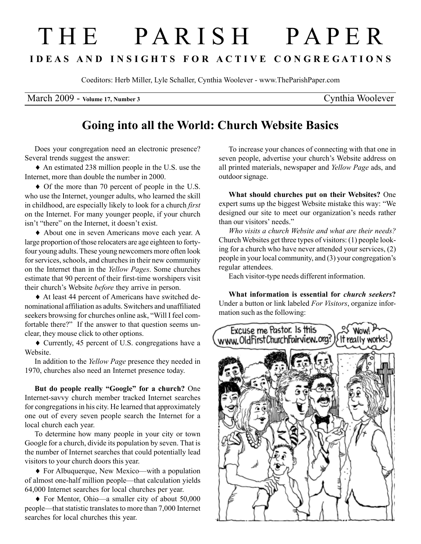## T H E P A R I S H P A P E R I D E A S A N D I N S I G H T S F O R A C T I V E C O N G R E G A T I O N S

Coeditors: Herb Miller, Lyle Schaller, Cynthia Woolever - www.TheParishPaper.com

March 2009 - Volume 17, Number 3 Cynthia Woolever

## Going into all the World: Church Website Basics

Does your congregation need an electronic presence? Several trends suggest the answer:

♦ An estimated 238 million people in the U.S. use the Internet, more than double the number in 2000.

♦ Of the more than 70 percent of people in the U.S. who use the Internet, younger adults, who learned the skill in childhood, are especially likely to look for a church first on the Internet. For many younger people, if your church isn't "there" on the Internet, it doesn't exist.

♦ About one in seven Americans move each year. A large proportion of those relocaters are age eighteen to fortyfour young adults. These young newcomers more often look for services, schools, and churches in their new community on the Internet than in the Yellow Pages. Some churches estimate that 90 percent of their first-time worshipers visit their church's Website before they arrive in person.

♦ At least 44 percent of Americans have switched denominational affiliation as adults. Switchers and unaffiliated seekers browsing for churches online ask, "Will I feel comfortable there?" If the answer to that question seems unclear, they mouse click to other options.

♦ Currently, 45 percent of U.S. congregations have a Website.

In addition to the Yellow Page presence they needed in 1970, churches also need an Internet presence today.

But do people really "Google" for a church? One Internet-savvy church member tracked Internet searches for congregations in his city. He learned that approximately one out of every seven people search the Internet for a local church each year.

To determine how many people in your city or town Google for a church, divide its population by seven. That is the number of Internet searches that could potentially lead visitors to your church doors this year.

♦ For Albuquerque, New Mexico—with a population of almost one-half million people—that calculation yields 64,000 Internet searches for local churches per year.

♦ For Mentor, Ohio—a smaller city of about 50,000 people—that statistic translates to more than 7,000 Internet searches for local churches this year.

To increase your chances of connecting with that one in seven people, advertise your church's Website address on all printed materials, newspaper and Yellow Page ads, and outdoor signage.

What should churches put on their Websites? One expert sums up the biggest Website mistake this way: "We designed our site to meet our organization's needs rather than our visitors' needs."

Who visits a church Website and what are their needs? Church Websites get three types of visitors: (1) people looking for a church who have never attended your services, (2) people in your local community, and (3) your congregation's regular attendees.

Each visitor-type needs different information.

What information is essential for church seekers? Under a button or link labeled For Visitors, organize information such as the following: